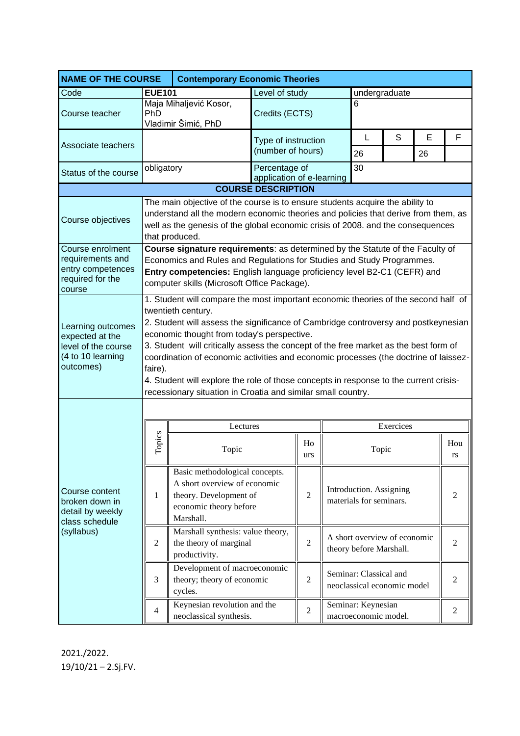| <b>NAME OF THE COURSE</b>                                                                     | <b>Contemporary Economic Theories</b>                                                                                                                                                                                                                                                                                                                                                                                                                                                                                                                                                            |                                                                                                                                 |                                          |                |                                 |                                                         |   |    |                |  |
|-----------------------------------------------------------------------------------------------|--------------------------------------------------------------------------------------------------------------------------------------------------------------------------------------------------------------------------------------------------------------------------------------------------------------------------------------------------------------------------------------------------------------------------------------------------------------------------------------------------------------------------------------------------------------------------------------------------|---------------------------------------------------------------------------------------------------------------------------------|------------------------------------------|----------------|---------------------------------|---------------------------------------------------------|---|----|----------------|--|
| Code                                                                                          | <b>EUE101</b>                                                                                                                                                                                                                                                                                                                                                                                                                                                                                                                                                                                    |                                                                                                                                 | Level of study                           |                | undergraduate                   |                                                         |   |    |                |  |
| Course teacher                                                                                | Maja Mihaljević Kosor,<br>PhD<br>Vladimir Šimić, PhD                                                                                                                                                                                                                                                                                                                                                                                                                                                                                                                                             |                                                                                                                                 | Credits (ECTS)                           |                |                                 | 6                                                       |   |    |                |  |
|                                                                                               |                                                                                                                                                                                                                                                                                                                                                                                                                                                                                                                                                                                                  |                                                                                                                                 | Type of instruction<br>(number of hours) |                |                                 | L                                                       | S | E  | F              |  |
| Associate teachers                                                                            |                                                                                                                                                                                                                                                                                                                                                                                                                                                                                                                                                                                                  |                                                                                                                                 |                                          |                |                                 | 26                                                      |   | 26 |                |  |
| Status of the course                                                                          | obligatory                                                                                                                                                                                                                                                                                                                                                                                                                                                                                                                                                                                       |                                                                                                                                 | Percentage of                            |                | 30<br>application of e-learning |                                                         |   |    |                |  |
| <b>COURSE DESCRIPTION</b>                                                                     |                                                                                                                                                                                                                                                                                                                                                                                                                                                                                                                                                                                                  |                                                                                                                                 |                                          |                |                                 |                                                         |   |    |                |  |
| Course objectives                                                                             | The main objective of the course is to ensure students acquire the ability to<br>understand all the modern economic theories and policies that derive from them, as<br>well as the genesis of the global economic crisis of 2008. and the consequences<br>that produced.                                                                                                                                                                                                                                                                                                                         |                                                                                                                                 |                                          |                |                                 |                                                         |   |    |                |  |
| Course enrolment<br>requirements and<br>entry competences<br>required for the<br>course       | Course signature requirements: as determined by the Statute of the Faculty of<br>Economics and Rules and Regulations for Studies and Study Programmes.<br>Entry competencies: English language proficiency level B2-C1 (CEFR) and<br>computer skills (Microsoft Office Package).                                                                                                                                                                                                                                                                                                                 |                                                                                                                                 |                                          |                |                                 |                                                         |   |    |                |  |
| Learning outcomes<br>expected at the<br>level of the course<br>(4 to 10 learning<br>outcomes) | 1. Student will compare the most important economic theories of the second half of<br>twentieth century.<br>2. Student will assess the significance of Cambridge controversy and postkeynesian<br>economic thought from today's perspective.<br>3. Student will critically assess the concept of the free market as the best form of<br>coordination of economic activities and economic processes (the doctrine of laissez-<br>faire).<br>4. Student will explore the role of those concepts in response to the current crisis-<br>recessionary situation in Croatia and similar small country. |                                                                                                                                 |                                          |                |                                 |                                                         |   |    |                |  |
|                                                                                               |                                                                                                                                                                                                                                                                                                                                                                                                                                                                                                                                                                                                  |                                                                                                                                 |                                          |                |                                 |                                                         |   |    |                |  |
|                                                                                               |                                                                                                                                                                                                                                                                                                                                                                                                                                                                                                                                                                                                  | Lectures                                                                                                                        |                                          |                | Exercices                       |                                                         |   |    |                |  |
| Course content<br>broken down in<br>detail by weekly<br>class schedule<br>(syllabus)          | Topics                                                                                                                                                                                                                                                                                                                                                                                                                                                                                                                                                                                           | Topic                                                                                                                           |                                          | Ho<br>urs      |                                 | Topic                                                   |   |    | Hou<br>rs      |  |
|                                                                                               | 1                                                                                                                                                                                                                                                                                                                                                                                                                                                                                                                                                                                                | Basic methodological concepts.<br>A short overview of economic<br>theory. Development of<br>economic theory before<br>Marshall. |                                          | $\overline{2}$ |                                 | Introduction. Assigning<br>materials for seminars.      |   |    | $\overline{2}$ |  |
|                                                                                               | $\overline{2}$                                                                                                                                                                                                                                                                                                                                                                                                                                                                                                                                                                                   | Marshall synthesis: value theory,<br>the theory of marginal<br>productivity.                                                    |                                          | $\overline{2}$ |                                 | A short overview of economic<br>theory before Marshall. |   |    | $\overline{2}$ |  |
|                                                                                               | 3                                                                                                                                                                                                                                                                                                                                                                                                                                                                                                                                                                                                | Development of macroeconomic<br>theory; theory of economic<br>cycles.                                                           |                                          | $\overline{2}$ |                                 | Seminar: Classical and<br>neoclassical economic model   |   |    | 2              |  |
|                                                                                               | $\overline{4}$                                                                                                                                                                                                                                                                                                                                                                                                                                                                                                                                                                                   | Keynesian revolution and the<br>neoclassical synthesis.                                                                         |                                          | $\mathbf{2}$   |                                 | Seminar: Keynesian<br>macroeconomic model.              |   |    | $\overline{2}$ |  |

2021./2022. 19/10/21 – 2.Sj.FV.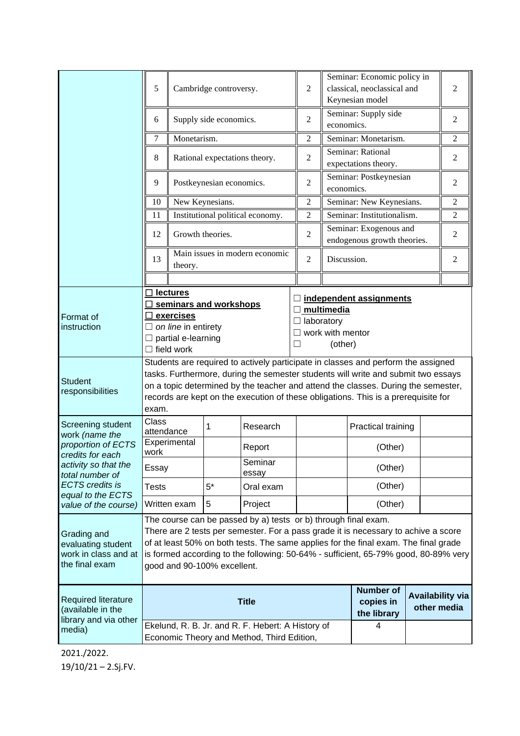|                                                                                    | 5                                                                                                                                                                                                                                                                                                                                                                 |                                  | Cambridge controversy. |                  |                                                       | Seminar: Economic policy in<br>$\overline{c}$<br>classical, neoclassical and<br>Keynesian model |                                |                | 2              |  |
|------------------------------------------------------------------------------------|-------------------------------------------------------------------------------------------------------------------------------------------------------------------------------------------------------------------------------------------------------------------------------------------------------------------------------------------------------------------|----------------------------------|------------------------|------------------|-------------------------------------------------------|-------------------------------------------------------------------------------------------------|--------------------------------|----------------|----------------|--|
|                                                                                    | Supply side economics.<br>6                                                                                                                                                                                                                                                                                                                                       |                                  |                        | $\overline{2}$   | Seminar: Supply side<br>economics.                    |                                                                                                 |                                | $\overline{c}$ |                |  |
|                                                                                    | 7<br>Monetarism.                                                                                                                                                                                                                                                                                                                                                  |                                  |                        | 2                |                                                       | Seminar: Monetarism.<br>$\overline{c}$                                                          |                                |                |                |  |
|                                                                                    | 8<br>Rational expectations theory.                                                                                                                                                                                                                                                                                                                                |                                  |                        | $\overline{2}$   | Seminar: Rational<br>expectations theory.             |                                                                                                 |                                | $\mathbf{2}$   |                |  |
|                                                                                    | 9                                                                                                                                                                                                                                                                                                                                                                 | Postkeynesian economics.         |                        |                  | $\overline{2}$                                        | Seminar: Postkeynesian<br>economics.                                                            |                                |                | $\overline{c}$ |  |
|                                                                                    | 10                                                                                                                                                                                                                                                                                                                                                                | New Keynesians.                  |                        |                  | $\overline{2}$                                        | Seminar: New Keynesians.                                                                        |                                |                | 2              |  |
|                                                                                    | 11                                                                                                                                                                                                                                                                                                                                                                | Institutional political economy. |                        |                  | $\overline{2}$                                        | Seminar: Institutionalism.                                                                      |                                |                | $\overline{c}$ |  |
|                                                                                    | Growth theories.<br>12                                                                                                                                                                                                                                                                                                                                            |                                  |                        | $\overline{2}$   | Seminar: Exogenous and<br>endogenous growth theories. |                                                                                                 |                                | 2              |                |  |
|                                                                                    | Main issues in modern economic<br>13<br>$\overline{2}$<br>Discussion.<br>theory.                                                                                                                                                                                                                                                                                  |                                  |                        | 2                |                                                       |                                                                                                 |                                |                |                |  |
|                                                                                    |                                                                                                                                                                                                                                                                                                                                                                   |                                  |                        |                  |                                                       |                                                                                                 |                                |                |                |  |
| Format of<br>instruction                                                           | <b>lectures</b><br>□ seminars and workshops<br>$\Box$ multimedia<br>$\Box$ exercises<br>laboratory<br>$\Box$ on line in entirety<br>work with mentor<br>□<br>$\Box$ partial e-learning<br>H<br>$\Box$ field work                                                                                                                                                  |                                  |                        |                  |                                                       | (other)                                                                                         | $\Box$ independent assignments |                |                |  |
| <b>Student</b><br>responsibilities                                                 | Students are required to actively participate in classes and perform the assigned<br>tasks. Furthermore, during the semester students will write and submit two essays<br>on a topic determined by the teacher and attend the classes. During the semester,<br>records are kept on the execution of these obligations. This is a prerequisite for<br>exam.        |                                  |                        |                  |                                                       |                                                                                                 |                                |                |                |  |
| Screening student<br>work (name the<br>proportion of ECTS<br>credits for each      | Class<br>attendance                                                                                                                                                                                                                                                                                                                                               |                                  | 1                      | Research         |                                                       |                                                                                                 | Practical training             |                |                |  |
|                                                                                    | Experimental<br>work                                                                                                                                                                                                                                                                                                                                              |                                  |                        | Report           |                                                       | (Other)                                                                                         |                                |                |                |  |
| activity so that the<br>total number of                                            | Essay                                                                                                                                                                                                                                                                                                                                                             |                                  |                        | Seminar<br>essay |                                                       |                                                                                                 | (Other)                        |                |                |  |
| <b>ECTS</b> credits is<br>equal to the ECTS                                        | <b>Tests</b>                                                                                                                                                                                                                                                                                                                                                      |                                  | $5^*$                  | Oral exam        |                                                       |                                                                                                 | (Other)                        |                |                |  |
| value of the course)                                                               |                                                                                                                                                                                                                                                                                                                                                                   | Written exam                     | 5                      | Project          |                                                       |                                                                                                 | (Other)                        |                |                |  |
| Grading and<br>evaluating student<br>work in class and at<br>the final exam        | The course can be passed by a) tests or b) through final exam.<br>There are 2 tests per semester. For a pass grade it is necessary to achive a score<br>of at least 50% on both tests. The same applies for the final exam. The final grade<br>is formed according to the following: 50-64% - sufficient, 65-79% good, 80-89% very<br>good and 90-100% excellent. |                                  |                        |                  |                                                       |                                                                                                 |                                |                |                |  |
| <b>Required literature</b><br>(available in the<br>library and via other<br>media) | <b>Title</b>                                                                                                                                                                                                                                                                                                                                                      |                                  |                        |                  | <b>Number of</b><br>copies in<br>the library          | <b>Availability via</b><br>other media                                                          |                                |                |                |  |
|                                                                                    | Ekelund, R. B. Jr. and R. F. Hebert: A History of<br>Economic Theory and Method, Third Edition,                                                                                                                                                                                                                                                                   |                                  |                        |                  |                                                       | 4                                                                                               |                                |                |                |  |

2021./2022. 19/10/21 – 2.Sj.FV.